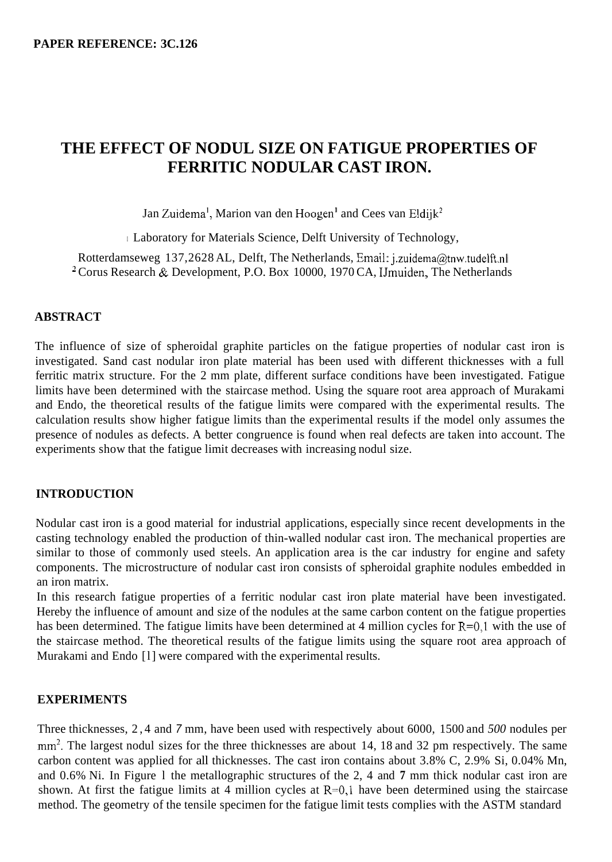# **THE EFFECT OF NODUL SIZE ON FATIGUE PROPERTIES OF FERRITIC NODULAR CAST IRON.**

Jan Zuidema<sup>l</sup>, Marion van den Hoogen<sup>l</sup> and Cees van Eldijk<sup>2</sup>

I Laboratory for Materials Science, Delft University of Technology,

Rotterdamseweg 137,2628 AL, Delft, The Netherlands, Email: **j.zuidema@tnw.tudelft.nl**  <sup>2</sup> Corus Research & Development, P.O. Box 10000, 1970 CA, IJmuiden, The Netherlands

# **ABSTRACT**

The influence of size of spheroidal graphite particles on the fatigue properties of nodular cast iron is investigated. Sand cast nodular iron plate material has been used with different thicknesses with a full ferritic matrix structure. For the 2 mm plate, different surface conditions have been investigated. Fatigue limits have been determined with the staircase method. Using the square root area approach of Murakami and Endo, the theoretical results of the fatigue limits were compared with the experimental results. The calculation results show higher fatigue limits than the experimental results if the model only assumes the presence of nodules as defects. A better congruence is found when real defects are taken into account. The experiments show that the fatigue limit decreases with increasing nodul size.

# **INTRODUCTION**

Nodular cast iron is a good material for industrial applications, especially since recent developments in the casting technology enabled the production of thin-walled nodular cast iron. The mechanical properties are similar to those of commonly used steels. An application area is the car industry for engine and safety components. The microstructure of nodular cast iron consists of spheroidal graphite nodules embedded in an iron matrix.

In this research fatigue properties of a ferritic nodular cast iron plate material have been investigated. Hereby the influence of amount and size of the nodules at the same carbon content on the fatigue properties has been determined. The fatigue limits have been determined at 4 million cycles for R=0,1 with the use of the staircase method. The theoretical results of the fatigue limits using the square root area approach of Murakami and Endo [l] were compared with the experimental results.

# **EXPERIMENTS**

Three thicknesses, 2,4 and *7* mm, have been used with respectively about 6000, 1500 and *500* nodules per mm<sup>2</sup>. The largest nodul sizes for the three thicknesses are about 14, 18 and 32 pm respectively. The same carbon content was applied for all thicknesses. The cast iron contains about 3.8% C, 2.9% Si, 0.04% Mn, and 0.6% Ni. In Figure l the metallographic structures of the 2, 4 and **7** mm thick nodular cast iron are shown. At first the fatigue limits at 4 million cycles at  $R=0,1$  have been determined using the staircase method. The geometry of the tensile specimen for the fatigue limit tests complies with the ASTM standard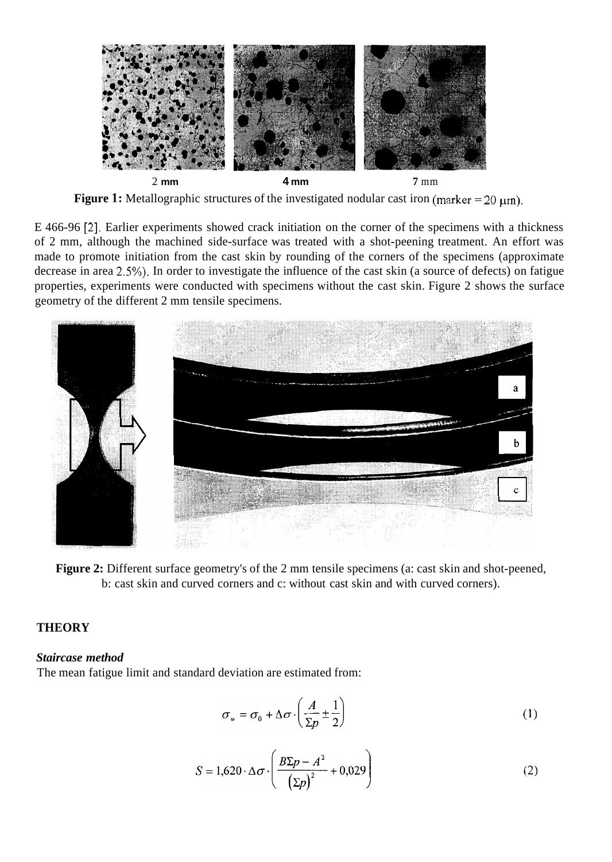

**Figure 1:** Metallographic structures of the investigated nodular cast iron (marker  $= 20 \mu m$ ).

E 466-96 [2]. Earlier experiments showed crack initiation on the corner of the specimens with a thickness of 2 mm, although the machined side-surface was treated with a shot-peening treatment. An effort was made to promote initiation from the cast skin by rounding of the corners of the specimens (approximate decrease in area 2.5%). In order to investigate the influence of the cast skin (a source of defects) on fatigue properties, experiments were conducted with specimens without the cast skin. Figure 2 shows the surface geometry of the different 2 mm tensile specimens.



**Figure 2:** Different surface geometry's of the 2 mm tensile specimens (a: cast skin and shot-peened, b: cast skin and curved corners and c: without cast skin and with curved corners).

# **THEORY**

#### *Staircase method*

The mean fatigue limit and standard deviation are estimated from:

$$
\sigma_{w} = \sigma_{0} + \Delta \sigma \cdot \left(\frac{A}{\Sigma p} \pm \frac{1}{2}\right)
$$
 (1)

$$
S = 1,620 \cdot \Delta \sigma \cdot \left(\frac{B\Sigma p - A^2}{\left(\Sigma p\right)^2} + 0,029\right) \tag{2}
$$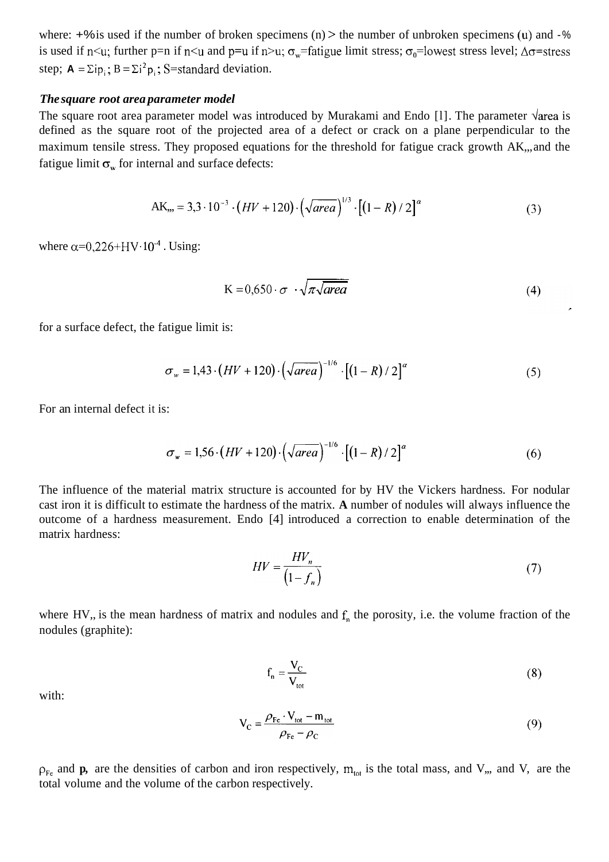where:  $+$ % is used if the number of broken specimens (n) > the number of unbroken specimens (u) and  $-$ % is used if n<u; further p=n if n<u and p=u if n>u;  $\sigma_w$ =fatigue limit stress;  $\sigma_0$ =lowest stress level;  $\Delta \sigma$ =stress step;  $A = \sum i p_i$ ;  $B = \sum i^2 p_i$ ; S=standard deviation.

#### *The square root area parameter model*

The square root area parameter model was introduced by Murakami and Endo [1]. The parameter  $\sqrt{area}$  is defined as the square root of the projected area of a defect or crack on a plane perpendicular to the maximum tensile stress. They proposed equations for the threshold for fatigue crack growth AK,,, and the fatigue limit  $\sigma_w$  for internal and surface defects:

AK<sub>ss</sub> = 3,3 · 10<sup>-3</sup> · (*HV* + 120) · (
$$
\sqrt{area}
$$
)<sup>1/3</sup> · [(1 – *R*) / 2]<sup>*a*</sup> (3)

where  $\alpha$ =0,226+HV·10<sup>-4</sup>. Using:

$$
K = 0,650 \cdot \sigma \cdot \sqrt{\pi \sqrt{area}}
$$
 (4)

for a surface defect, the fatigue limit is:

$$
\sigma_w = 1,43 \cdot (HV + 120) \cdot (\sqrt{\text{area}})^{-1/6} \cdot [(1 - R)/2]^{\alpha}
$$
 (5)

For an internal defect it is:

$$
\sigma_w = 1,56 \cdot (HV + 120) \cdot (\sqrt{area})^{-1/6} \cdot [(1 - R)/2]^{\alpha}
$$
 (6)

The influence of the material matrix structure is accounted for by HV the Vickers hardness. For nodular cast iron it is difficult to estimate the hardness of the matrix. **A** number of nodules will always influence the outcome of a hardness measurement. Endo [4] introduced a correction to enable determination of the matrix hardness:

$$
HV = \frac{HV_n}{\left(1 - f_n\right)}\tag{7}
$$

where HV,, is the mean hardness of matrix and nodules and  $f<sub>n</sub>$  the porosity, i.e. the volume fraction of the nodules (graphite):

$$
f_n = \frac{V_C}{V_{\text{tot}}}
$$
 (8)

with:

$$
V_C = \frac{\rho_{Fe} \cdot V_{tot} - m_{tot}}{\rho_{Fe} - \rho_C}
$$
(9)

 $p_{Fe}$  and **p**, are the densities of carbon and iron respectively,  $m_{tot}$  is the total mass, and V,, and V, are the total volume and the volume of the carbon respectively.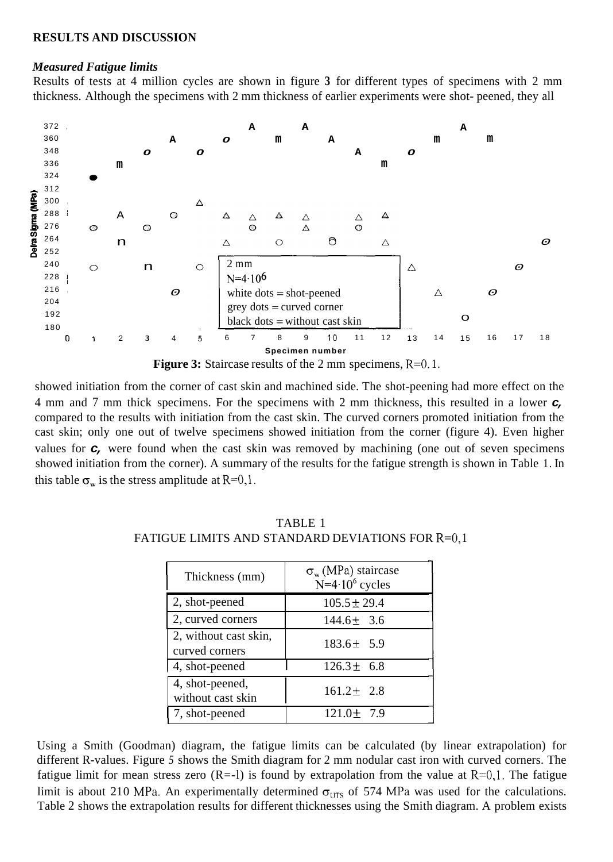#### **RESULTS AND DISCUSSION**

#### *Measured Fatigue limits*

Results of tests at 4 million cycles are shown in figure **3** for different types of specimens with 2 mm thickness. Although the specimens with 2 mm thickness of earlier experiments were shot- peened, they all



showed initiation from the corner of cast skin and machined side. The shot-peening had more effect on the 4 mm and 7 mm thick specimens. For the specimens with 2 mm thickness, this resulted in a lower *c,*  compared to the results with initiation from the cast skin. The curved corners promoted initiation from the cast skin; only one out of twelve specimens showed initiation from the corner (figure 4). Even higher values for *c*, were found when the cast skin was removed by machining (one out of seven specimens showed initiation from the corner). A summary of the results for the fatigue strength is shown in Table 1. In this table  $\sigma_w$  is the stress amplitude at R=0,1.

| Thickness (mm)                          | $\sigma_w$ (MPa) staircase<br>$N=4.10^6$ cycles |
|-----------------------------------------|-------------------------------------------------|
| 2, shot-peened                          | $105.5 \pm 29.4$                                |
| 2, curved corners                       | $144.6 \pm 3.6$                                 |
| 2, without cast skin,<br>curved corners | $183.6 \pm 5.9$                                 |
| 4, shot-peened                          | $126.3 \pm 6.8$                                 |
| 4, shot-peened,<br>without cast skin    | $161.2 \pm 2.8$                                 |
| 7, shot-peened                          | $121.0 \pm 7.9$                                 |

TABLE 1 FATIGUE LIMITS AND STANDARD DEVIATIONS FOR R=0,1

Using a Smith (Goodman) diagram, the fatigue limits can be calculated (by linear extrapolation) for different R-values. Figure *5* shows the Smith diagram for 2 mm nodular cast iron with curved corners. The fatigue limit for mean stress zero  $(R=1)$  is found by extrapolation from the value at  $R=0,1$ . The fatigue limit is about 210 MPa. An experimentally determined  $\sigma_{UTS}$  of 574 MPa was used for the calculations. [Table 2](#page-5-0) shows the extrapolation results for different thicknesses using the Smith diagram. A problem exists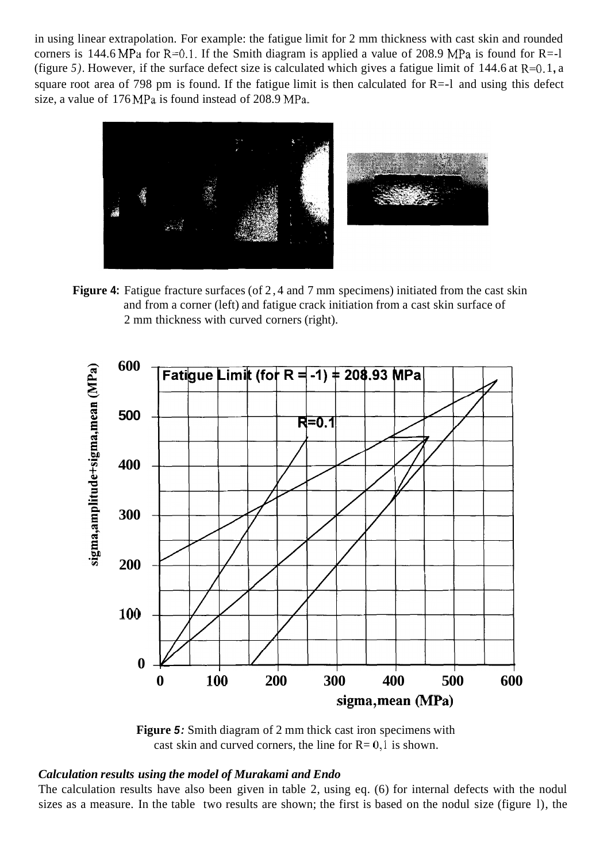in using linear extrapolation. For example: the fatigue limit for 2 mm thickness with cast skin and rounded corners is 144.6 MPa for R=0.1. If the Smith diagram is applied a value of 208.9 MPa is found for R=-1 (figure 5). However, if the surface defect size is calculated which gives a fatigue limit of  $144.6$  at  $R=0.1$ , a square root area of 798 pm is found. If the fatigue limit is then calculated for  $R=-1$  and using this defect size, a value of 176 MPa is found instead of 208.9 MPa.



**Figure 4:** Fatigue fracture surfaces (of 2, 4 and 7 mm specimens) initiated from the cast skin and from a corner (left) and fatigue crack initiation from a cast skin surface of 2 mm thickness with curved corners (right).



**Figure** *5:* Smith diagram of 2 mm thick cast iron specimens with cast skin and curved corners, the line for  $R = 0,1$  is shown.

# *Calculation results using the model of Murakami and Endo*

The calculation results have also been given in table 2, using eq. (6) for internal defects with the nodul sizes as a measure. In the table two results are shown; the first is based on the nodul size (figure l), the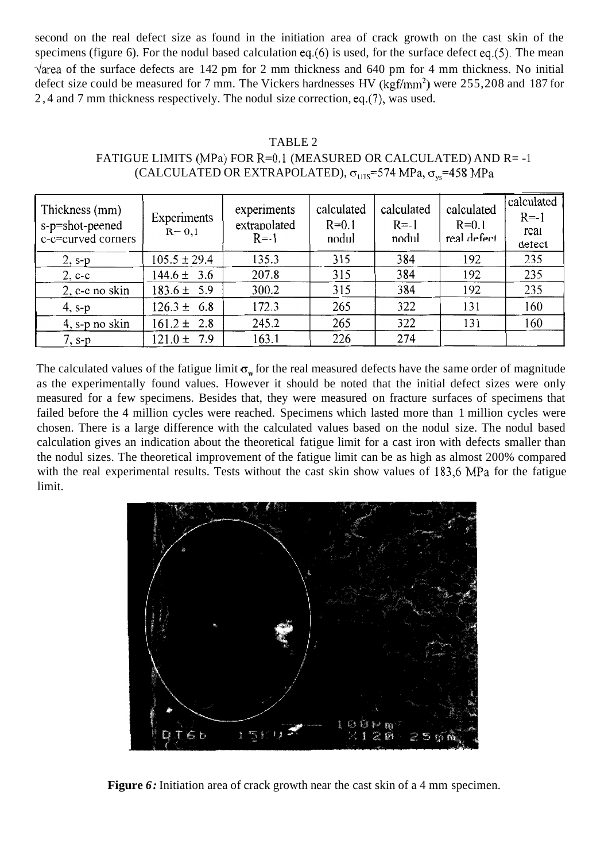<span id="page-5-0"></span>second on the real defect size as found in the initiation area of crack growth on the cast skin of the specimens (figure 6). For the nodul based calculation **eq.(6)** is used, for the surface defect eq.(5). The mean  $\sqrt{2}$  area of the surface defects are 142 pm for 2 mm thickness and 640 pm for 4 mm thickness. No initial defect size could be measured for 7 mm. The Vickers hardnesses HV (kgf/mm<sup>2</sup>) were 255,208 and 187 for 2,4 and 7 mm thickness respectively. The nodul size correction, eq.(7), was used.

| TABLE 2                                                                       |
|-------------------------------------------------------------------------------|
| FATIGUE LIMITS (MPa) FOR R=0.1 (MEASURED OR CALCULATED) AND R= -1             |
| (CALCULATED OR EXTRAPOLATED), $\sigma_{UTS}$ =574 MPa, $\sigma_{vs}$ =458 MPa |

| Thickness (mm)<br>s-p=shot-peened<br>c-c=curved corners | Experiments<br>$R = 0,1$ | experiments<br>extrapolated<br>$R = -1$ | calculated<br>$R = 0.1$<br>nodul | calculated<br>$R = -1$<br>nodul | calculated<br>$R=0.1$<br>real defect | calculated<br>$R = -1$<br>real<br>defect |
|---------------------------------------------------------|--------------------------|-----------------------------------------|----------------------------------|---------------------------------|--------------------------------------|------------------------------------------|
| $2, s-p$                                                | $105.5 \pm 29.4$         | 135.3                                   | 315                              | 384                             | 192                                  | 235                                      |
| $2, c-c$                                                | $144.6 \pm 3.6$          | 207.8                                   | 315                              | 384                             | 192                                  | 235                                      |
| 2, c-c no skin                                          | $183.6 \pm 5.9$          | 300.2                                   | 315                              | 384                             | 192                                  | 235                                      |
| $4, s-p$                                                | $126.3 \pm 6.8$          | 172.3                                   | 265                              | 322                             | 131                                  | 160                                      |
| $4$ , s-p no skin                                       | $161.2 \pm 2.8$          | 245.2                                   | 265                              | 322                             | 131                                  | 160                                      |
| $7, s-p$                                                | 7.9<br>$121.0 \pm$       | 163.1                                   | 226                              | 274                             |                                      |                                          |

The calculated values of the fatigue limit  $\sigma_w$  for the real measured defects have the same order of magnitude as the experimentally found values. However it should be noted that the initial defect sizes were only measured for a few specimens. Besides that, they were measured on fracture surfaces of specimens that failed before the 4 million cycles were reached. Specimens which lasted more than 1 million cycles were chosen. There is a large difference with the calculated values based on the nodul size. The nodul based calculation gives an indication about the theoretical fatigue limit for a cast iron with defects smaller than the nodul sizes. The theoretical improvement of the fatigue limit can be as high as almost 200% compared with the real experimental results. Tests without the cast skin show values of 183,6 MPa for the fatigue limit.



**Figure** *6:* Initiation area of crack growth near the cast skin of a 4 mm specimen.